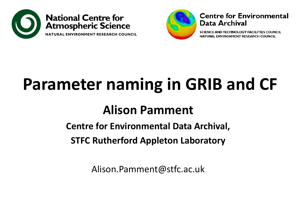



#### **Centre for Environmental** Data Archival

SCIENCE AND TECHNOLOGY FACILITIES COUNCIL NATURAL ENVIRONMENT RESEARCH COUNCIL

## **Parameter naming in GRIB and CF**

#### **Alison Pamment**

**Centre for Environmental Data Archival,**

**STFC Rutherford Appleton Laboratory**

Alison.Pamment@stfc.ac.uk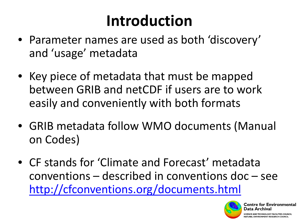## **Introduction**

- Parameter names are used as both 'discovery' and 'usage' metadata
- Key piece of metadata that must be mapped between GRIB and netCDF if users are to work easily and conveniently with both formats
- GRIB metadata follow WMO documents (Manual on Codes)
- CF stands for 'Climate and Forecast' metadata conventions – described in conventions doc – see <http://cfconventions.org/documents.html>



entre for Environmental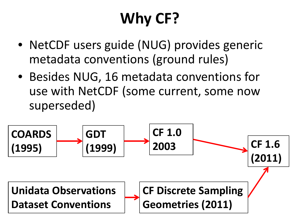## **Why CF?**

- NetCDF users guide (NUG) provides generic metadata conventions (ground rules)
- Besides NUG, 16 metadata conventions for use with NetCDF (some current, some now superseded)

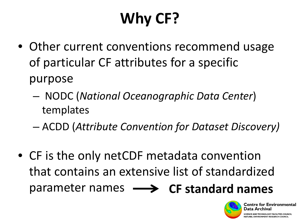# **Why CF?**

- Other current conventions recommend usage of particular CF attributes for a specific purpose
	- NODC (*National Oceanographic Data Center*) templates
	- ACDD (*Attribute Convention for Dataset Discovery)*
- CF is the only netCDF metadata convention that contains an extensive list of standardized parameter names **CF standard names**

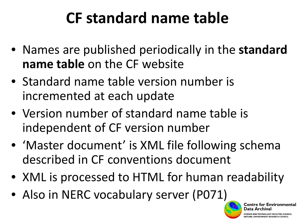### **CF standard name table**

- Names are published periodically in the **standard name table** on the CF website
- Standard name table version number is incremented at each update
- Version number of standard name table is independent of CF version number
- 'Master document' is XML file following schema described in CF conventions document
- XML is processed to HTML for human readability
- Also in NERC vocabulary server (P071)



or Environmental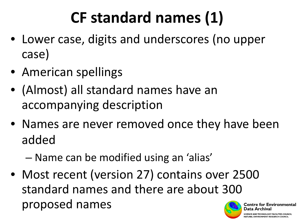## **CF standard names (1)**

- Lower case, digits and underscores (no upper case)
- American spellings
- (Almost) all standard names have an accompanying description
- Names are never removed once they have been added
	- Name can be modified using an 'alias'
- Most recent (version 27) contains over 2500 standard names and there are about 300 proposed names

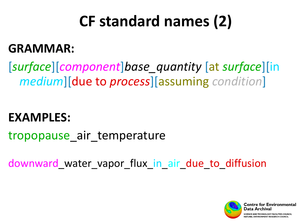## **CF standard names (2)**

#### **GRAMMAR:**

[*surface*][*component*]*base\_quantity* [at *surface*][in *medium*][due to *process*][assuming *condition*]

#### **EXAMPLES:**

tropopause air temperature

downward water vapor flux in air due to diffusion

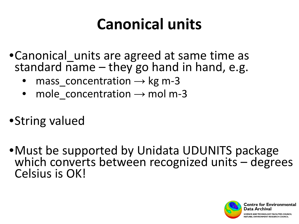### **Canonical units**

- Canonical units are agreed at same time as standard name  $-$  they go hand in hand, e.g.
	- mass concentration  $\rightarrow$  kg m-3
	- mole concentration  $\rightarrow$  mol m-3
- •String valued
- •Must be supported by Unidata UDUNITS package which converts between recognized units – degrees Celsius is OK!

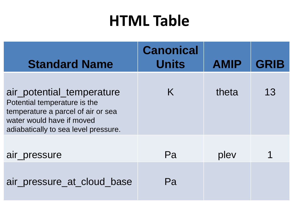### **HTML Table**

| <b>Standard Name</b>                                                                                                                                                 | <b>Canonical</b><br><b>Units</b> | <b>AMIP</b> | <b>GRIB</b> |
|----------------------------------------------------------------------------------------------------------------------------------------------------------------------|----------------------------------|-------------|-------------|
| air_potential_temperature<br>Potential temperature is the<br>temperature a parcel of air or sea<br>water would have if moved<br>adiabatically to sea level pressure. | K                                | theta       | 13          |
| air_pressure                                                                                                                                                         | Pa                               | plev        |             |
| air_pressure_at_cloud_base                                                                                                                                           | Pa                               |             |             |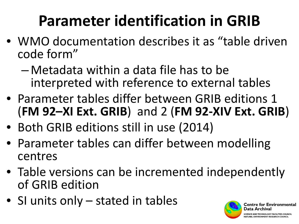## **Parameter identification in GRIB**

- WMO documentation describes it as "table driven code form"
	- Metadata within a data file has to be interpreted with reference to external tables
- Parameter tables differ between GRIB editions 1 (**FM 92–XI Ext. GRIB**) and 2 (**FM 92-XIV Ext. GRIB**)
- Both GRIB editions still in use (2014)
- Parameter tables can differ between modelling centres
- Table versions can be incremented independently of GRIB edition
- SI units only stated in tables

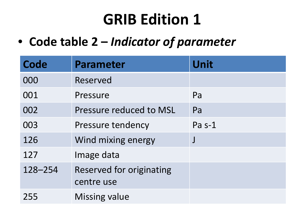### **GRIB Edition 1**

• **Code table 2 –** *Indicator of parameter*

| Code    | <b>Parameter</b>         | Unit     |
|---------|--------------------------|----------|
| 000     | Reserved                 |          |
| 001     | Pressure                 | Pa       |
| 002     | Pressure reduced to MSL  | Pa       |
| 003     | <b>Pressure tendency</b> | Pa $s-1$ |
| 126     | Wind mixing energy       | $\int$   |
| 127     | Image data               |          |
| 128-254 | Reserved for originating |          |
|         | centre use               |          |
| 255     | <b>Missing value</b>     |          |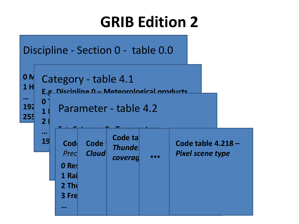### **GRIB Edition 2**

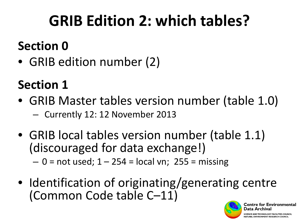## **GRIB Edition 2: which tables?**

#### **Section 0**

• GRIB edition number (2)

#### **Section 1**

- GRIB Master tables version number (table 1.0)
	- Currently 12: 12 November 2013
- GRIB local tables version number (table 1.1) (discouraged for data exchange!)  $- 0$  = not used;  $1 - 254$  = local vn; 255 = missing
- Identification of originating/generating centre (Common Code table C–11)

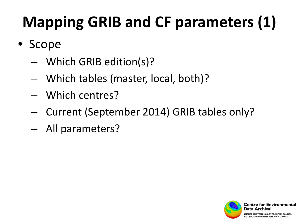# **Mapping GRIB and CF parameters (1)**

- Scope
	- Which GRIB edition(s)?
	- Which tables (master, local, both)?
	- Which centres?
	- Current (September 2014) GRIB tables only?
	- All parameters?

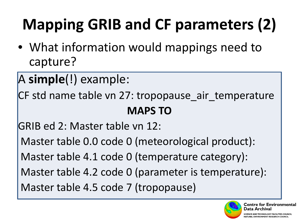# **Mapping GRIB and CF parameters (2)**

• What information would mappings need to capture?

A **simple**(!) example:

CF std name table vn 27: tropopause\_air\_temperature **MAPS TO**

GRIB ed 2: Master table vn 12:

Master table 0.0 code 0 (meteorological product):

Master table 4.1 code 0 (temperature category):

Master table 4.2 code 0 (parameter is temperature):

Master table 4.5 code 7 (tropopause)

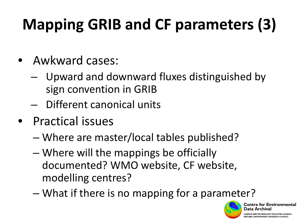## **Mapping GRIB and CF parameters (3)**

- Awkward cases:
	- Upward and downward fluxes distinguished by sign convention in GRIB
	- Different canonical units
- Practical issues
	- Where are master/local tables published?
	- Where will the mappings be officially documented? WMO website, CF website, modelling centres?
	- What if there is no mapping for a parameter?